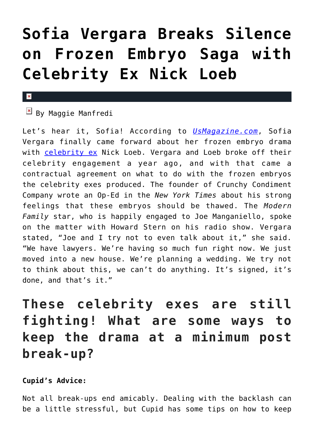## **[Sofia Vergara Breaks Silence](https://cupidspulse.com/92564/sofia-vergara-frozen-embryo-celebrity-ex-nick-loeb/) [on Frozen Embryo Saga with](https://cupidspulse.com/92564/sofia-vergara-frozen-embryo-celebrity-ex-nick-loeb/) [Celebrity Ex Nick Loeb](https://cupidspulse.com/92564/sofia-vergara-frozen-embryo-celebrity-ex-nick-loeb/)**

## $\mathbf x$

 $\overline{B}$  By Maggie Manfredi

Let's hear it, Sofia! According to *[UsMagazine.com](http://www.usmagazine.com/celebrity-news/news/sofia-vergara-breaks-silence-on-nick-loeb-embryo-saga-201545)*, Sofia Vergara finally came forward about her frozen embryo drama with [celebrity ex](http://cupidspulse.com/celebrity-relationships/break-up-divorce/) Nick Loeb. Vergara and Loeb broke off their celebrity engagement a year ago, and with that came a contractual agreement on what to do with the frozen embryos the celebrity exes produced. The founder of Crunchy Condiment Company wrote an Op-Ed in the *New York Times* about his strong feelings that these embryos should be thawed. The *Modern Family* star, who is happily engaged to Joe Manganiello, spoke on the matter with Howard Stern on his radio show. Vergara stated, "Joe and I try not to even talk about it," she said. "We have lawyers. We're having so much fun right now. We just moved into a new house. We're planning a wedding. We try not to think about this, we can't do anything. It's signed, it's done, and that's it."

**These celebrity exes are still fighting! What are some ways to keep the drama at a minimum post break-up?**

**Cupid's Advice:** 

Not all break-ups end amicably. Dealing with the backlash can be a little stressful, but Cupid has some tips on how to keep